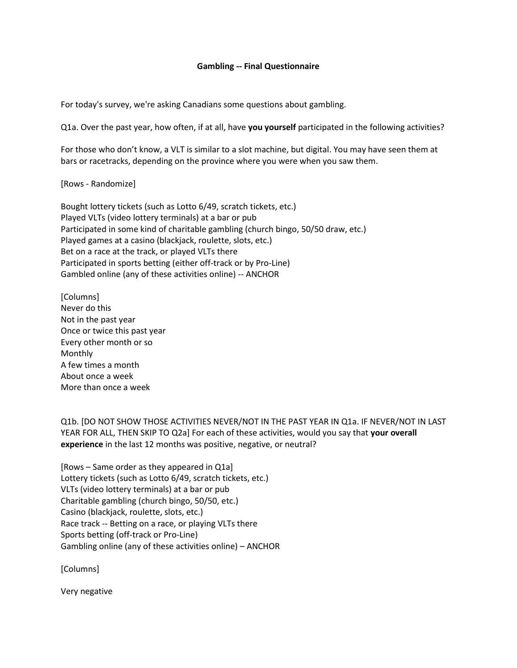## **Gambling -- Final Questionnaire**

For today's survey, we're asking Canadians some questions about gambling.

Q1a. Over the past year, how often, if at all, have **you yourself** participated in the following activities?

For those who don't know, a VLT is similar to a slot machine, but digital. You may have seen them at bars or racetracks, depending on the province where you were when you saw them.

[Rows - Randomize]

Bought lottery tickets (such as Lotto 6/49, scratch tickets, etc.) Played VLTs (video lottery terminals) at a bar or pub Participated in some kind of charitable gambling (church bingo, 50/50 draw, etc.) Played games at a casino (blackjack, roulette, slots, etc.) Bet on a race at the track, or played VLTs there Participated in sports betting (either off-track or by Pro-Line) Gambled online (any of these activities online) -- ANCHOR

[Columns] Never do this Not in the past year Once or twice this past year Every other month or so Monthly A few times a month About once a week More than once a week

Q1b. [DO NOT SHOW THOSE ACTIVITIES NEVER/NOT IN THE PAST YEAR IN Q1a. IF NEVER/NOT IN LAST YEAR FOR ALL, THEN SKIP TO Q2a] For each of these activities, would you say that **your overall experience** in the last 12 months was positive, negative, or neutral?

[Rows – Same order as they appeared in Q1a] Lottery tickets (such as Lotto 6/49, scratch tickets, etc.) VLTs (video lottery terminals) at a bar or pub Charitable gambling (church bingo, 50/50, etc.) Casino (blackjack, roulette, slots, etc.) Race track -- Betting on a race, or playing VLTs there Sports betting (off-track or Pro-Line) Gambling online (any of these activities online) – ANCHOR

[Columns]

Very negative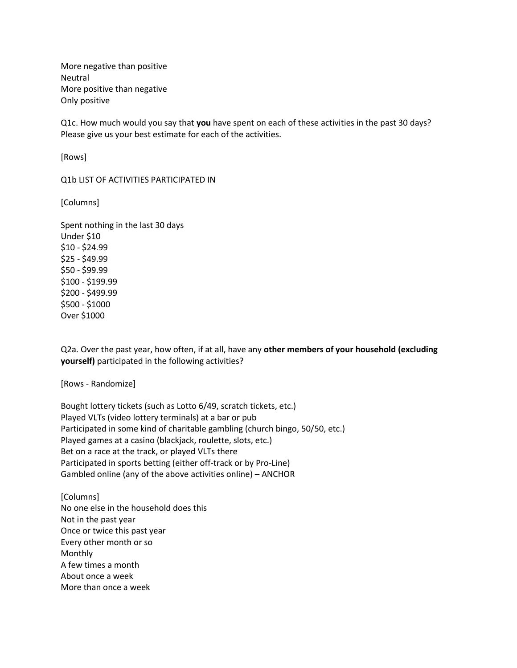More negative than positive Neutral More positive than negative Only positive

Q1c. How much would you say that **you** have spent on each of these activities in the past 30 days? Please give us your best estimate for each of the activities.

[Rows]

Q1b LIST OF ACTIVITIES PARTICIPATED IN

[Columns]

Spent nothing in the last 30 days Under \$10 \$10 - \$24.99 \$25 - \$49.99 \$50 - \$99.99 \$100 - \$199.99 \$200 - \$499.99 \$500 - \$1000 Over \$1000

Q2a. Over the past year, how often, if at all, have any **other members of your household (excluding yourself)** participated in the following activities?

[Rows - Randomize]

Bought lottery tickets (such as Lotto 6/49, scratch tickets, etc.) Played VLTs (video lottery terminals) at a bar or pub Participated in some kind of charitable gambling (church bingo, 50/50, etc.) Played games at a casino (blackjack, roulette, slots, etc.) Bet on a race at the track, or played VLTs there Participated in sports betting (either off-track or by Pro-Line) Gambled online (any of the above activities online) – ANCHOR

[Columns] No one else in the household does this Not in the past year Once or twice this past year Every other month or so Monthly A few times a month About once a week More than once a week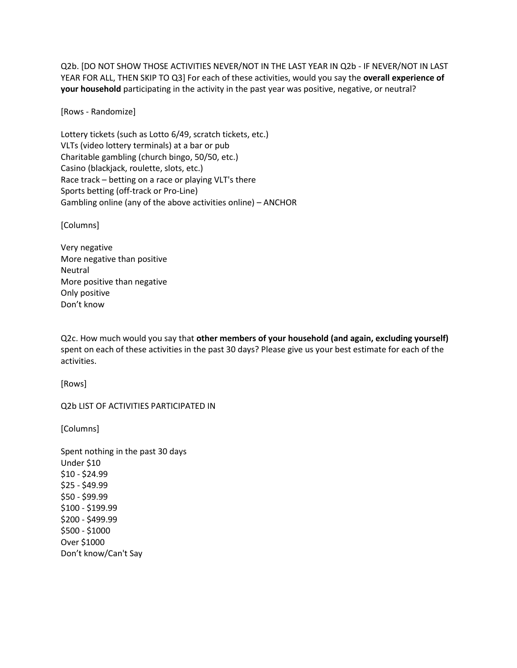Q2b. [DO NOT SHOW THOSE ACTIVITIES NEVER/NOT IN THE LAST YEAR IN Q2b - IF NEVER/NOT IN LAST YEAR FOR ALL, THEN SKIP TO Q3] For each of these activities, would you say the **overall experience of your household** participating in the activity in the past year was positive, negative, or neutral?

[Rows - Randomize]

Lottery tickets (such as Lotto 6/49, scratch tickets, etc.) VLTs (video lottery terminals) at a bar or pub Charitable gambling (church bingo, 50/50, etc.) Casino (blackjack, roulette, slots, etc.) Race track – betting on a race or playing VLT's there Sports betting (off-track or Pro-Line) Gambling online (any of the above activities online) – ANCHOR

[Columns]

Very negative More negative than positive Neutral More positive than negative Only positive Don't know

Q2c. How much would you say that **other members of your household (and again, excluding yourself)** spent on each of these activities in the past 30 days? Please give us your best estimate for each of the activities.

[Rows]

Q2b LIST OF ACTIVITIES PARTICIPATED IN

[Columns]

Spent nothing in the past 30 days Under \$10 \$10 - \$24.99 \$25 - \$49.99 \$50 - \$99.99 \$100 - \$199.99 \$200 - \$499.99 \$500 - \$1000 Over \$1000 Don't know/Can't Say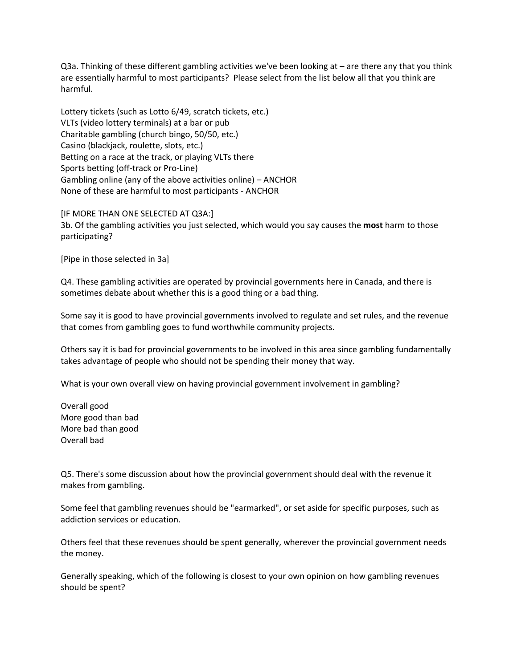Q3a. Thinking of these different gambling activities we've been looking at – are there any that you think are essentially harmful to most participants? Please select from the list below all that you think are harmful.

Lottery tickets (such as Lotto 6/49, scratch tickets, etc.) VLTs (video lottery terminals) at a bar or pub Charitable gambling (church bingo, 50/50, etc.) Casino (blackjack, roulette, slots, etc.) Betting on a race at the track, or playing VLTs there Sports betting (off-track or Pro-Line) Gambling online (any of the above activities online) – ANCHOR None of these are harmful to most participants - ANCHOR

[IF MORE THAN ONE SELECTED AT Q3A:] 3b. Of the gambling activities you just selected, which would you say causes the **most** harm to those participating?

[Pipe in those selected in 3a]

Q4. These gambling activities are operated by provincial governments here in Canada, and there is sometimes debate about whether this is a good thing or a bad thing.

Some say it is good to have provincial governments involved to regulate and set rules, and the revenue that comes from gambling goes to fund worthwhile community projects.

Others say it is bad for provincial governments to be involved in this area since gambling fundamentally takes advantage of people who should not be spending their money that way.

What is your own overall view on having provincial government involvement in gambling?

Overall good More good than bad More bad than good Overall bad

Q5. There's some discussion about how the provincial government should deal with the revenue it makes from gambling.

Some feel that gambling revenues should be "earmarked", or set aside for specific purposes, such as addiction services or education.

Others feel that these revenues should be spent generally, wherever the provincial government needs the money.

Generally speaking, which of the following is closest to your own opinion on how gambling revenues should be spent?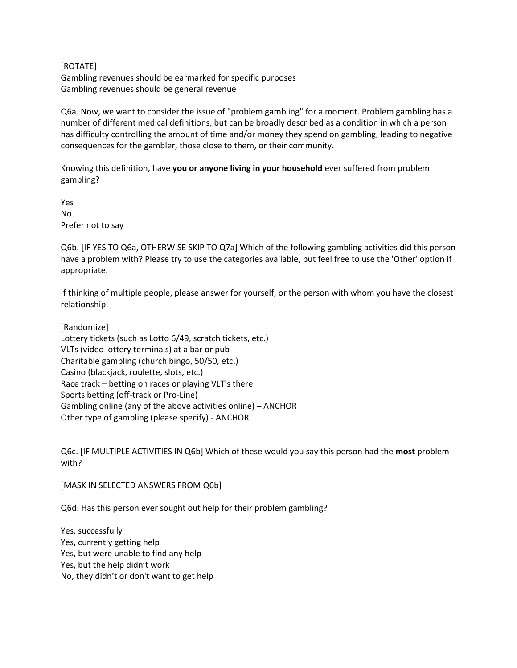[ROTATE] Gambling revenues should be earmarked for specific purposes Gambling revenues should be general revenue

Q6a. Now, we want to consider the issue of "problem gambling" for a moment. Problem gambling has a number of different medical definitions, but can be broadly described as a condition in which a person has difficulty controlling the amount of time and/or money they spend on gambling, leading to negative consequences for the gambler, those close to them, or their community.

Knowing this definition, have **you or anyone living in your household** ever suffered from problem gambling?

Yes No Prefer not to say

Q6b. [IF YES TO Q6a, OTHERWISE SKIP TO Q7a] Which of the following gambling activities did this person have a problem with? Please try to use the categories available, but feel free to use the 'Other' option if appropriate.

If thinking of multiple people, please answer for yourself, or the person with whom you have the closest relationship.

[Randomize] Lottery tickets (such as Lotto 6/49, scratch tickets, etc.) VLTs (video lottery terminals) at a bar or pub Charitable gambling (church bingo, 50/50, etc.) Casino (blackjack, roulette, slots, etc.) Race track – betting on races or playing VLT's there Sports betting (off-track or Pro-Line) Gambling online (any of the above activities online) – ANCHOR Other type of gambling (please specify) - ANCHOR

Q6c. [IF MULTIPLE ACTIVITIES IN Q6b] Which of these would you say this person had the **most** problem with?

[MASK IN SELECTED ANSWERS FROM Q6b]

Q6d. Has this person ever sought out help for their problem gambling?

Yes, successfully Yes, currently getting help Yes, but were unable to find any help Yes, but the help didn't work No, they didn't or don't want to get help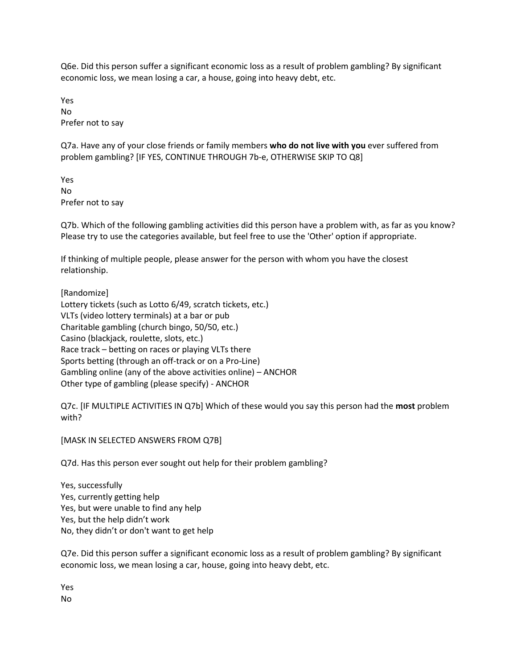Q6e. Did this person suffer a significant economic loss as a result of problem gambling? By significant economic loss, we mean losing a car, a house, going into heavy debt, etc.

Yes No Prefer not to say

Q7a. Have any of your close friends or family members **who do not live with you** ever suffered from problem gambling? [IF YES, CONTINUE THROUGH 7b-e, OTHERWISE SKIP TO Q8]

Yes No Prefer not to say

Q7b. Which of the following gambling activities did this person have a problem with, as far as you know? Please try to use the categories available, but feel free to use the 'Other' option if appropriate.

If thinking of multiple people, please answer for the person with whom you have the closest relationship.

[Randomize] Lottery tickets (such as Lotto 6/49, scratch tickets, etc.) VLTs (video lottery terminals) at a bar or pub Charitable gambling (church bingo, 50/50, etc.) Casino (blackjack, roulette, slots, etc.) Race track – betting on races or playing VLTs there Sports betting (through an off-track or on a Pro-Line) Gambling online (any of the above activities online) – ANCHOR Other type of gambling (please specify) - ANCHOR

Q7c. [IF MULTIPLE ACTIVITIES IN Q7b] Which of these would you say this person had the **most** problem with?

[MASK IN SELECTED ANSWERS FROM Q7B]

Q7d. Has this person ever sought out help for their problem gambling?

Yes, successfully Yes, currently getting help Yes, but were unable to find any help Yes, but the help didn't work No, they didn't or don't want to get help

Q7e. Did this person suffer a significant economic loss as a result of problem gambling? By significant economic loss, we mean losing a car, house, going into heavy debt, etc.

Yes No